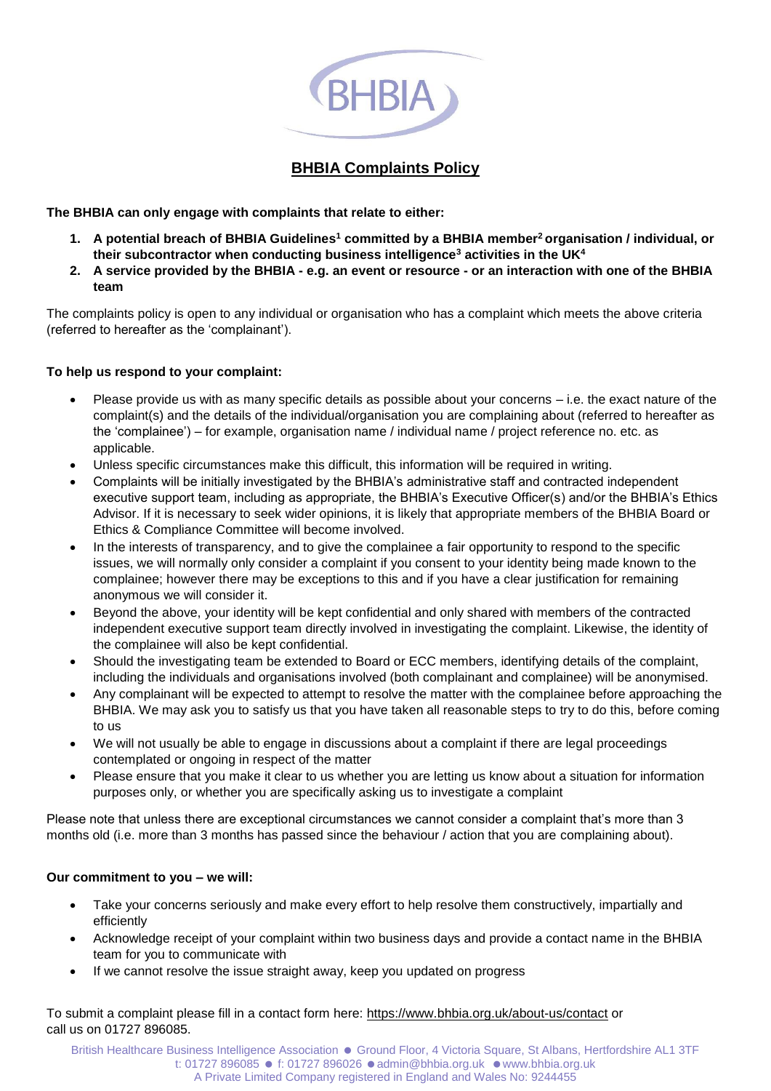

## **BHBIA Complaints Policy**

**The BHBIA can only engage with complaints that relate to either:**

- **1. A potential breach of BHBIA Guidelines<sup>1</sup> committed by a BHBIA member<sup>2</sup>organisation / individual, or their subcontractor when conducting business intelligence<sup>3</sup> activities in the UK<sup>4</sup>**
- **2. A service provided by the BHBIA - e.g. an event or resource - or an interaction with one of the BHBIA team**

The complaints policy is open to any individual or organisation who has a complaint which meets the above criteria (referred to hereafter as the 'complainant').

## **To help us respond to your complaint:**

- Please provide us with as many specific details as possible about your concerns i.e. the exact nature of the complaint(s) and the details of the individual/organisation you are complaining about (referred to hereafter as the 'complainee') – for example, organisation name / individual name / project reference no. etc. as applicable.
- Unless specific circumstances make this difficult, this information will be required in writing.
- Complaints will be initially investigated by the BHBIA's administrative staff and contracted independent executive support team, including as appropriate, the BHBIA's Executive Officer(s) and/or the BHBIA's Ethics Advisor. If it is necessary to seek wider opinions, it is likely that appropriate members of the BHBIA Board or Ethics & Compliance Committee will become involved.
- In the interests of transparency, and to give the complainee a fair opportunity to respond to the specific issues, we will normally only consider a complaint if you consent to your identity being made known to the complainee; however there may be exceptions to this and if you have a clear justification for remaining anonymous we will consider it.
- Beyond the above, your identity will be kept confidential and only shared with members of the contracted independent executive support team directly involved in investigating the complaint. Likewise, the identity of the complainee will also be kept confidential.
- Should the investigating team be extended to Board or ECC members, identifying details of the complaint, including the individuals and organisations involved (both complainant and complainee) will be anonymised.
- Any complainant will be expected to attempt to resolve the matter with the complainee before approaching the BHBIA. We may ask you to satisfy us that you have taken all reasonable steps to try to do this, before coming to us
- We will not usually be able to engage in discussions about a complaint if there are legal proceedings contemplated or ongoing in respect of the matter
- Please ensure that you make it clear to us whether you are letting us know about a situation for information purposes only, or whether you are specifically asking us to investigate a complaint

Please note that unless there are exceptional circumstances we cannot consider a complaint that's more than 3 months old (i.e. more than 3 months has passed since the behaviour / action that you are complaining about).

## **Our commitment to you – we will:**

- Take your concerns seriously and make every effort to help resolve them constructively, impartially and efficiently
- Acknowledge receipt of your complaint within two business days and provide a contact name in the BHBIA team for you to communicate with
- If we cannot resolve the issue straight away, keep you updated on progress

To submit a complaint please fill in a contact form here:<https://www.bhbia.org.uk/about-us/contact> or call us on 01727 896085.